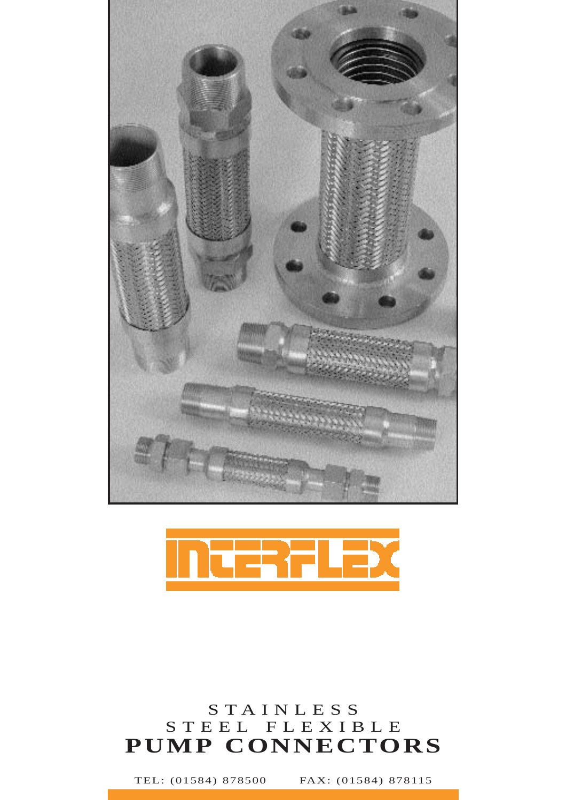



## STAINLESS STEEL FLEXIBLE **PUMP CONNECTORS**

TEL: (01584) 878500 FAX: (01584) 878115